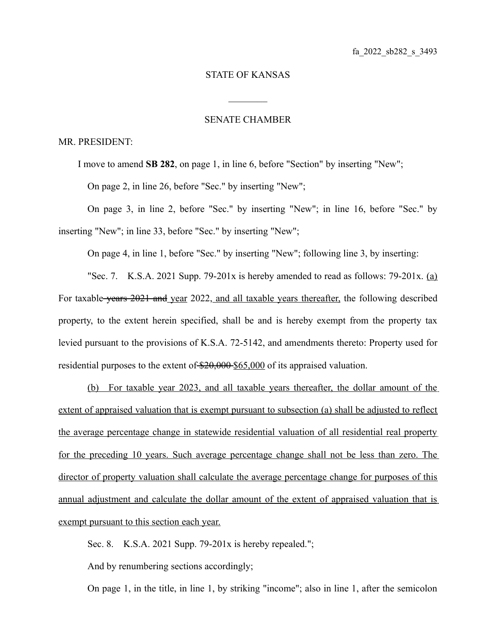## STATE OF KANSAS

 $\mathcal{L}_\text{max}$ 

## SENATE CHAMBER

## MR. PRESIDENT:

I move to amend **SB 282**, on page 1, in line 6, before "Section" by inserting "New";

On page 2, in line 26, before "Sec." by inserting "New";

On page 3, in line 2, before "Sec." by inserting "New"; in line 16, before "Sec." by inserting "New"; in line 33, before "Sec." by inserting "New";

On page 4, in line 1, before "Sec." by inserting "New"; following line 3, by inserting:

"Sec. 7. K.S.A. 2021 Supp. 79-201 $x$  is hereby amended to read as follows: 79-201 $x$ . (a) For taxable years 2021 and year 2022, and all taxable years thereafter, the following described property, to the extent herein specified, shall be and is hereby exempt from the property tax levied pursuant to the provisions of K.S.A. 72-5142, and amendments thereto: Property used for residential purposes to the extent of  $$20,000$  \$65,000 of its appraised valuation.

 ( b) For taxable year 2023, and all taxable years thereafter, the dollar amount of the extent of appraised valuation that is exempt pursuant to subsection (a) shall be adjusted to reflect the average percentage change in statewide residential valuation of all residential real property for the preceding 10 years. Such average percentage change shall not be less than zero. The director of property valuation shall calculate the average percentage change for purposes of this annual adjustment and calculate the dollar amount of the extent of appraised valuation that is exempt pursuant to this section each year.

Sec. 8. K.S.A. 2021 Supp. 79-201x is hereby repealed.";

And by renumbering sections accordingly;

On page 1, in the title, in line 1, by striking "income"; also in line 1, after the semicolon